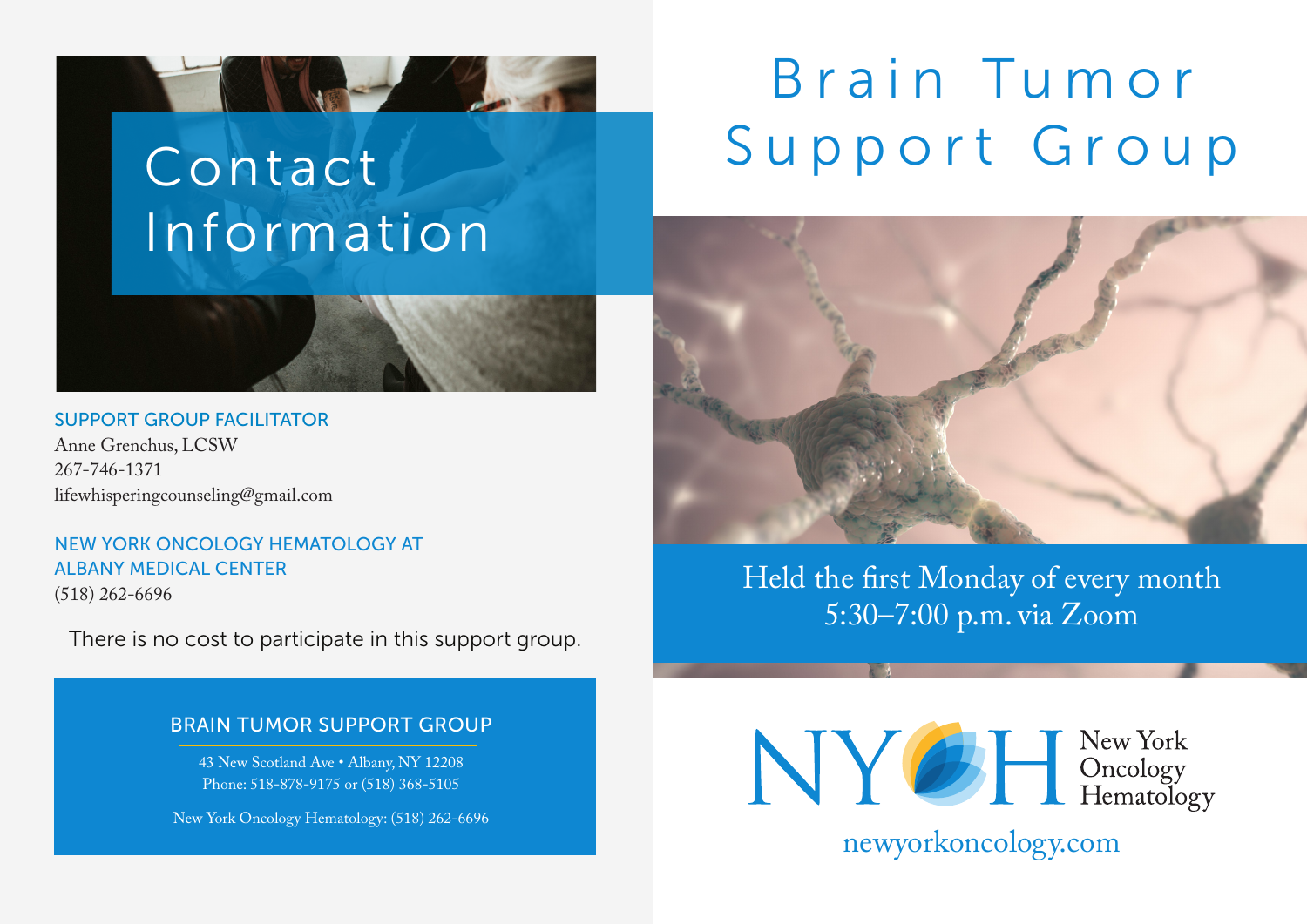### Contact Information

and the state of the state of the state of the state of the state of the state of the state of the state of the

#### SUPPORT GROUP FACILITATOR

Anne Grenchus, LCSW 267-746-1371 lifewhisperingcounseling@gmail.com

NEW YORK ONCOLOGY HEMATOLOGY AT ALBANY MEDICAL CENTER (518) 262-6696

There is no cost to participate in this support group.

### BRAIN TUMOR SUPPORT GROUP

43 New Scotland Ave • Albany, NY 12208 Phone: 518-878-9175 or (518) 368-5105

New York Oncology Hematology: (518) 262-6696

## Brain Tumor Support Group



Held the first Monday of every month 5:30–7:00 p.m. via Zoom



newyorkoncology.com